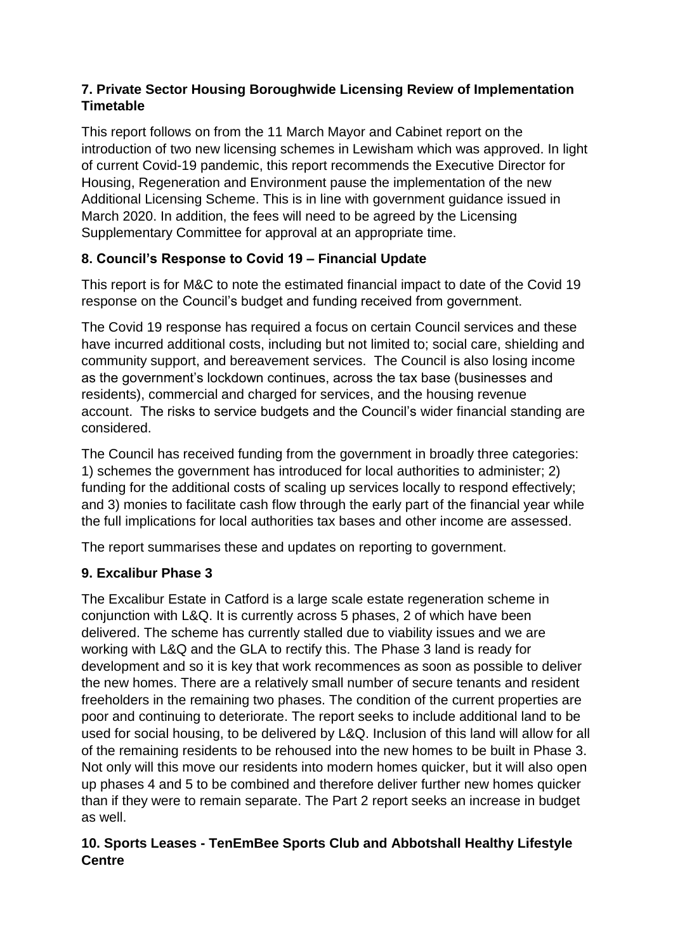# **7. Private Sector Housing Boroughwide Licensing Review of Implementation Timetable**

This report follows on from the 11 March Mayor and Cabinet report on the introduction of two new licensing schemes in Lewisham which was approved. In light of current Covid-19 pandemic, this report recommends the Executive Director for Housing, Regeneration and Environment pause the implementation of the new Additional Licensing Scheme. This is in line with government guidance issued in March 2020. In addition, the fees will need to be agreed by the Licensing Supplementary Committee for approval at an appropriate time.

# **8. Council's Response to Covid 19 – Financial Update**

This report is for M&C to note the estimated financial impact to date of the Covid 19 response on the Council's budget and funding received from government.

The Covid 19 response has required a focus on certain Council services and these have incurred additional costs, including but not limited to; social care, shielding and community support, and bereavement services. The Council is also losing income as the government's lockdown continues, across the tax base (businesses and residents), commercial and charged for services, and the housing revenue account. The risks to service budgets and the Council's wider financial standing are considered.

The Council has received funding from the government in broadly three categories: 1) schemes the government has introduced for local authorities to administer; 2) funding for the additional costs of scaling up services locally to respond effectively; and 3) monies to facilitate cash flow through the early part of the financial year while the full implications for local authorities tax bases and other income are assessed.

The report summarises these and updates on reporting to government.

# **9. Excalibur Phase 3**

The Excalibur Estate in Catford is a large scale estate regeneration scheme in conjunction with L&Q. It is currently across 5 phases, 2 of which have been delivered. The scheme has currently stalled due to viability issues and we are working with L&Q and the GLA to rectify this. The Phase 3 land is ready for development and so it is key that work recommences as soon as possible to deliver the new homes. There are a relatively small number of secure tenants and resident freeholders in the remaining two phases. The condition of the current properties are poor and continuing to deteriorate. The report seeks to include additional land to be used for social housing, to be delivered by L&Q. Inclusion of this land will allow for all of the remaining residents to be rehoused into the new homes to be built in Phase 3. Not only will this move our residents into modern homes quicker, but it will also open up phases 4 and 5 to be combined and therefore deliver further new homes quicker than if they were to remain separate. The Part 2 report seeks an increase in budget as well.

#### **10. Sports Leases - TenEmBee Sports Club and Abbotshall Healthy Lifestyle Centre**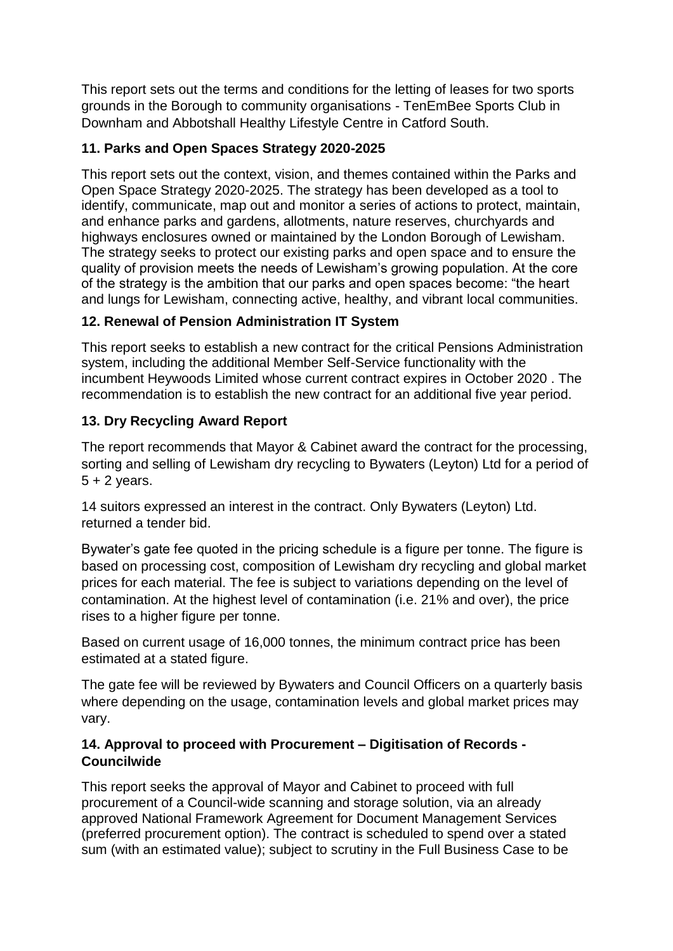This report sets out the terms and conditions for the letting of leases for two sports grounds in the Borough to community organisations - TenEmBee Sports Club in Downham and Abbotshall Healthy Lifestyle Centre in Catford South.

### **11. Parks and Open Spaces Strategy 2020-2025**

This report sets out the context, vision, and themes contained within the Parks and Open Space Strategy 2020-2025. The strategy has been developed as a tool to identify, communicate, map out and monitor a series of actions to protect, maintain, and enhance parks and gardens, allotments, nature reserves, churchyards and highways enclosures owned or maintained by the London Borough of Lewisham. The strategy seeks to protect our existing parks and open space and to ensure the quality of provision meets the needs of Lewisham's growing population. At the core of the strategy is the ambition that our parks and open spaces become: "the heart and lungs for Lewisham, connecting active, healthy, and vibrant local communities.

#### **12. Renewal of Pension Administration IT System**

This report seeks to establish a new contract for the critical Pensions Administration system, including the additional Member Self-Service functionality with the incumbent Heywoods Limited whose current contract expires in October 2020 . The recommendation is to establish the new contract for an additional five year period.

#### **13. Dry Recycling Award Report**

The report recommends that Mayor & Cabinet award the contract for the processing, sorting and selling of Lewisham dry recycling to Bywaters (Leyton) Ltd for a period of  $5 + 2$  years.

14 suitors expressed an interest in the contract. Only Bywaters (Leyton) Ltd. returned a tender bid.

Bywater's gate fee quoted in the pricing schedule is a figure per tonne. The figure is based on processing cost, composition of Lewisham dry recycling and global market prices for each material. The fee is subject to variations depending on the level of contamination. At the highest level of contamination (i.e. 21% and over), the price rises to a higher figure per tonne.

Based on current usage of 16,000 tonnes, the minimum contract price has been estimated at a stated figure.

The gate fee will be reviewed by Bywaters and Council Officers on a quarterly basis where depending on the usage, contamination levels and global market prices may vary.

#### **14. Approval to proceed with Procurement – Digitisation of Records - Councilwide**

This report seeks the approval of Mayor and Cabinet to proceed with full procurement of a Council-wide scanning and storage solution, via an already approved National Framework Agreement for Document Management Services (preferred procurement option). The contract is scheduled to spend over a stated sum (with an estimated value); subject to scrutiny in the Full Business Case to be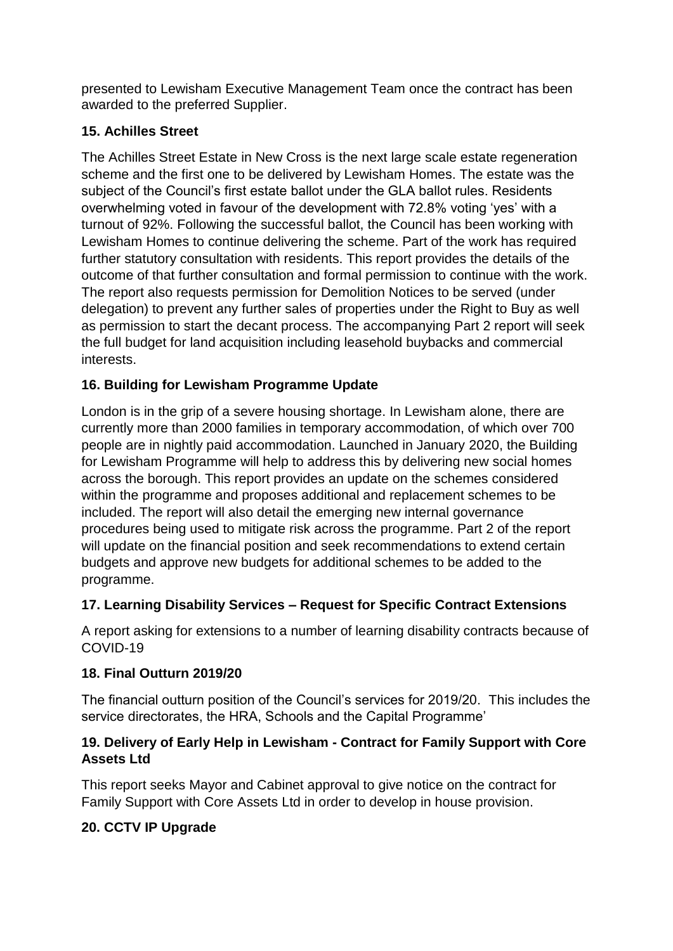presented to Lewisham Executive Management Team once the contract has been awarded to the preferred Supplier.

# **15. Achilles Street**

The Achilles Street Estate in New Cross is the next large scale estate regeneration scheme and the first one to be delivered by Lewisham Homes. The estate was the subject of the Council's first estate ballot under the GLA ballot rules. Residents overwhelming voted in favour of the development with 72.8% voting 'yes' with a turnout of 92%. Following the successful ballot, the Council has been working with Lewisham Homes to continue delivering the scheme. Part of the work has required further statutory consultation with residents. This report provides the details of the outcome of that further consultation and formal permission to continue with the work. The report also requests permission for Demolition Notices to be served (under delegation) to prevent any further sales of properties under the Right to Buy as well as permission to start the decant process. The accompanying Part 2 report will seek the full budget for land acquisition including leasehold buybacks and commercial interests.

# **16. Building for Lewisham Programme Update**

London is in the grip of a severe housing shortage. In Lewisham alone, there are currently more than 2000 families in temporary accommodation, of which over 700 people are in nightly paid accommodation. Launched in January 2020, the Building for Lewisham Programme will help to address this by delivering new social homes across the borough. This report provides an update on the schemes considered within the programme and proposes additional and replacement schemes to be included. The report will also detail the emerging new internal governance procedures being used to mitigate risk across the programme. Part 2 of the report will update on the financial position and seek recommendations to extend certain budgets and approve new budgets for additional schemes to be added to the programme.

# **17. Learning Disability Services – Request for Specific Contract Extensions**

A report asking for extensions to a number of learning disability contracts because of COVID-19

# **18. Final Outturn 2019/20**

The financial outturn position of the Council's services for 2019/20. This includes the service directorates, the HRA, Schools and the Capital Programme'

#### **19. Delivery of Early Help in Lewisham - Contract for Family Support with Core Assets Ltd**

This report seeks Mayor and Cabinet approval to give notice on the contract for Family Support with Core Assets Ltd in order to develop in house provision.

# **20. CCTV IP Upgrade**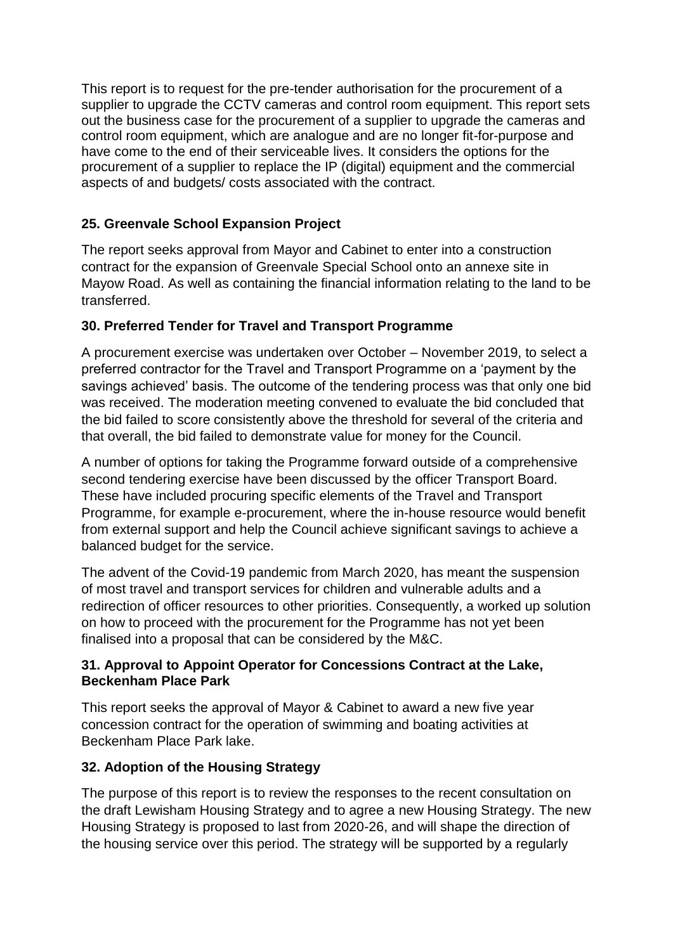This report is to request for the pre-tender authorisation for the procurement of a supplier to upgrade the CCTV cameras and control room equipment. This report sets out the business case for the procurement of a supplier to upgrade the cameras and control room equipment, which are analogue and are no longer fit-for-purpose and have come to the end of their serviceable lives. It considers the options for the procurement of a supplier to replace the IP (digital) equipment and the commercial aspects of and budgets/ costs associated with the contract.

# **25. Greenvale School Expansion Project**

The report seeks approval from Mayor and Cabinet to enter into a construction contract for the expansion of Greenvale Special School onto an annexe site in Mayow Road. As well as containing the financial information relating to the land to be transferred.

#### **30. Preferred Tender for Travel and Transport Programme**

A procurement exercise was undertaken over October – November 2019, to select a preferred contractor for the Travel and Transport Programme on a 'payment by the savings achieved' basis. The outcome of the tendering process was that only one bid was received. The moderation meeting convened to evaluate the bid concluded that the bid failed to score consistently above the threshold for several of the criteria and that overall, the bid failed to demonstrate value for money for the Council.

A number of options for taking the Programme forward outside of a comprehensive second tendering exercise have been discussed by the officer Transport Board. These have included procuring specific elements of the Travel and Transport Programme, for example e-procurement, where the in-house resource would benefit from external support and help the Council achieve significant savings to achieve a balanced budget for the service.

The advent of the Covid-19 pandemic from March 2020, has meant the suspension of most travel and transport services for children and vulnerable adults and a redirection of officer resources to other priorities. Consequently, a worked up solution on how to proceed with the procurement for the Programme has not yet been finalised into a proposal that can be considered by the M&C.

#### **31. Approval to Appoint Operator for Concessions Contract at the Lake, Beckenham Place Park**

This report seeks the approval of Mayor & Cabinet to award a new five year concession contract for the operation of swimming and boating activities at Beckenham Place Park lake.

#### **32. Adoption of the Housing Strategy**

The purpose of this report is to review the responses to the recent consultation on the draft Lewisham Housing Strategy and to agree a new Housing Strategy. The new Housing Strategy is proposed to last from 2020-26, and will shape the direction of the housing service over this period. The strategy will be supported by a regularly